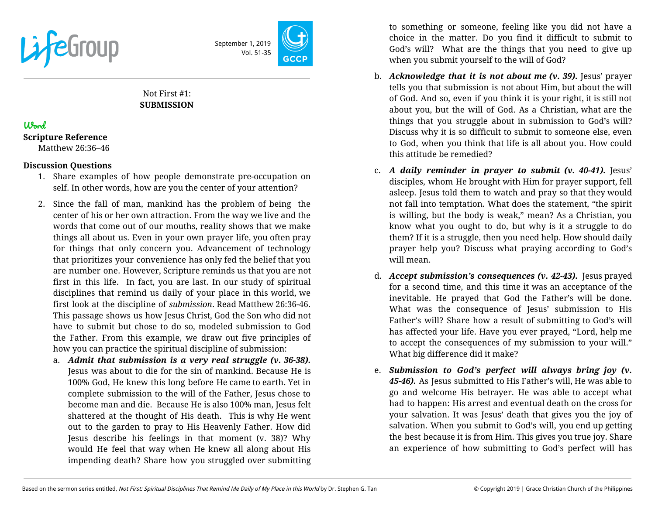

September 1, 2019 Vol. 51-35

# Not First #1: **SUBMISSION**

## Word

**Scripture Reference**

Matthew 26:36–46

#### **Discussion Questions**

- 1. Share examples of how people demonstrate pre-occupation on self. In other words, how are you the center of your attention?
- 2. Since the fall of man, mankind has the problem of being the center of his or her own attraction. From the way we live and the words that come out of our mouths, reality shows that we make things all about us. Even in your own prayer life, you often pray for things that only concern you. Advancement of technology that prioritizes your convenience has only fed the belief that you are number one. However, Scripture reminds us that you are not first in this life. In fact, you are last. In our study of spiritual disciplines that remind us daily of your place in this world, we first look at the discipline of *submission*. Read Matthew 26:36-46. This passage shows us how Jesus Christ, God the Son who did not have to submit but chose to do so, modeled submission to God the Father. From this example, we draw out five principles of how you can practice the spiritual discipline of submission:
	- a. *Admit that submission is a very real struggle (v. 36-38).* Jesus was about to die for the sin of mankind. Because He is 100% God, He knew this long before He came to earth. Yet in complete submission to the will of the Father, Jesus chose to become man and die. Because He is also 100% man, Jesus felt shattered at the thought of His death. This is why He went out to the garden to pray to His Heavenly Father. How did Jesus describe his feelings in that moment (v. 38)? Why would He feel that way when He knew all along about His impending death? Share how you struggled over submitting

to something or someone, feeling like you did not have a choice in the matter. Do you find it difficult to submit to God's will? What are the things that you need to give up when you submit yourself to the will of God?

- b. *Acknowledge that it is not about me (v. 39).* Jesus' prayer tells you that submission is not about Him, but about the will of God. And so, even if you think it is your right, it is still not about you, but the will of God. As a Christian, what are the things that you struggle about in submission to God's will? Discuss why it is so difficult to submit to someone else, even to God, when you think that life is all about you. How could this attitude be remedied?
- c. *A daily reminder in prayer to submit (v. 40-41).* Jesus' disciples, whom He brought with Him for prayer support, fell asleep. Jesus told them to watch and pray so that they would not fall into temptation. What does the statement, "the spirit is willing, but the body is weak," mean? As a Christian, you know what you ought to do, but why is it a struggle to do them? If it is a struggle, then you need help. How should daily prayer help you? Discuss what praying according to God's will mean.
- d. *Accept submission's consequences (v. 42-43).* Jesus prayed for a second time, and this time it was an acceptance of the inevitable. He prayed that God the Father's will be done. What was the consequence of Jesus' submission to His Father's will? Share how a result of submitting to God's will has affected your life. Have you ever prayed, "Lord, help me to accept the consequences of my submission to your will." What big difference did it make?
- e. *Submission to God's perfect will always bring joy (v. 45-46).* As Jesus submitted to His Father's will, He was able to go and welcome His betrayer. He was able to accept what had to happen: His arrest and eventual death on the cross for your salvation. It was Jesus' death that gives you the joy of salvation. When you submit to God's will, you end up getting the best because it is from Him. This gives you true joy. Share an experience of how submitting to God's perfect will has